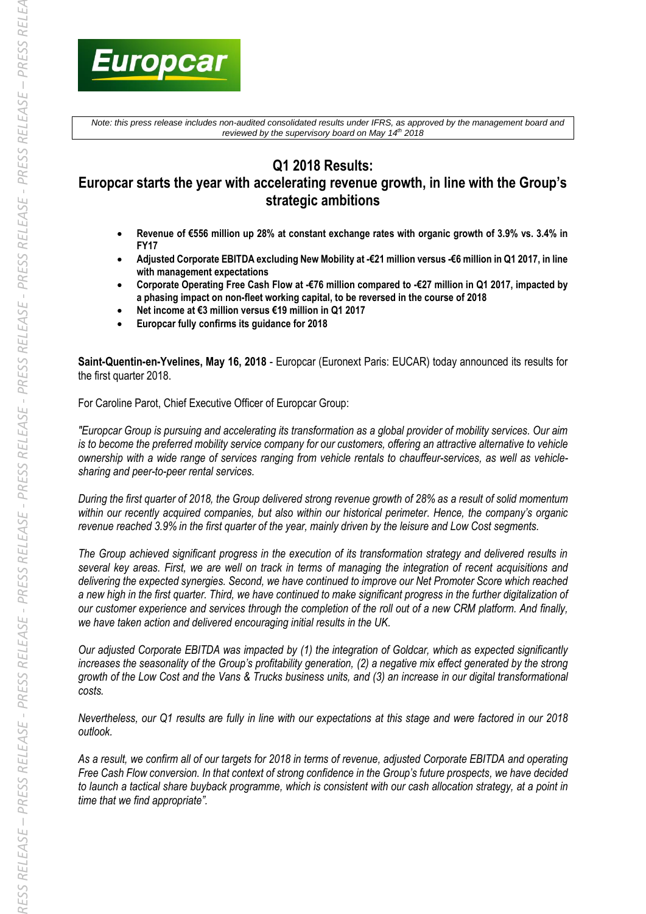

*Note: this press release includes non-audited consolidated results under IFRS, as approved by the management board and reviewed by the supervisory board on May 14 th 2018*

# **Q1 2018 Results:**

# **Europcar starts the year with accelerating revenue growth, in line with the Group's strategic ambitions**

- **Revenue of €556 million up 28% at constant exchange rates with organic growth of 3.9% vs. 3.4% in FY17**
- **Adjusted Corporate EBITDA excluding New Mobility at -€21 million versus -€6 million in Q1 2017, in line with management expectations**
- **Corporate Operating Free Cash Flow at -€76 million compared to -€27 million in Q1 2017, impacted by a phasing impact on non-fleet working capital, to be reversed in the course of 2018**
- **Net income at €3 million versus €19 million in Q1 2017**
- **Europcar fully confirms its guidance for 2018**

**Saint-Quentin-en-Yvelines, May 16, 2018** - Europcar (Euronext Paris: EUCAR) today announced its results for the first quarter 2018.

For Caroline Parot, Chief Executive Officer of Europcar Group:

*"Europcar Group is pursuing and accelerating its transformation as a global provider of mobility services. Our aim is to become the preferred mobility service company for our customers, offering an attractive alternative to vehicle ownership with a wide range of services ranging from vehicle rentals to chauffeur-services, as well as vehiclesharing and peer-to-peer rental services.*

*During the first quarter of 2018, the Group delivered strong revenue growth of 28% as a result of solid momentum within our recently acquired companies, but also within our historical perimeter. Hence, the company's organic revenue reached 3.9% in the first quarter of the year, mainly driven by the leisure and Low Cost segments.* 

*The Group achieved significant progress in the execution of its transformation strategy and delivered results in several key areas. First, we are well on track in terms of managing the integration of recent acquisitions and delivering the expected synergies. Second, we have continued to improve our Net Promoter Score which reached a new high in the first quarter. Third, we have continued to make significant progress in the further digitalization of our customer experience and services through the completion of the roll out of a new CRM platform. And finally, we have taken action and delivered encouraging initial results in the UK.*

*Our adjusted Corporate EBITDA was impacted by (1) the integration of Goldcar, which as expected significantly increases the seasonality of the Group's profitability generation, (2) a negative mix effect generated by the strong growth of the Low Cost and the Vans & Trucks business units, and (3) an increase in our digital transformational costs.* 

*Nevertheless, our Q1 results are fully in line with our expectations at this stage and were factored in our 2018 outlook.*

*As a result, we confirm all of our targets for 2018 in terms of revenue, adjusted Corporate EBITDA and operating Free Cash Flow conversion. In that context of strong confidence in the Group's future prospects, we have decided to launch a tactical share buyback programme, which is consistent with our cash allocation strategy, at a point in time that we find appropriate".*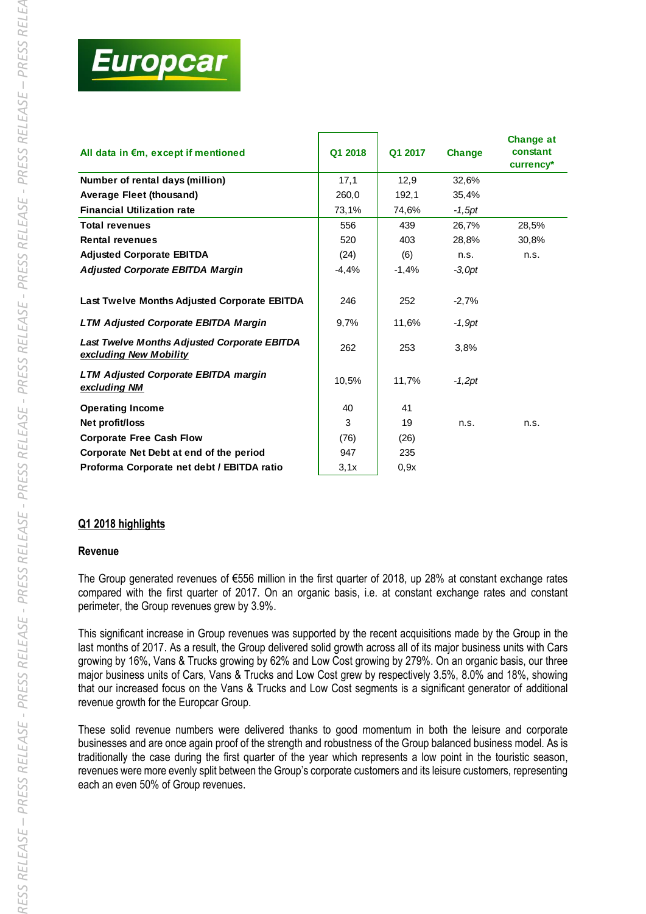

| All data in €m, except if mentioned                                    | Q1 2018 | Q1 2017 | <b>Change</b> | <b>Change at</b><br>constant<br>currency* |
|------------------------------------------------------------------------|---------|---------|---------------|-------------------------------------------|
| Number of rental days (million)                                        | 17,1    | 12.9    | 32.6%         |                                           |
| Average Fleet (thousand)                                               | 260,0   | 192,1   | 35,4%         |                                           |
| <b>Financial Utilization rate</b>                                      | 73,1%   | 74,6%   | $-1,5pt$      |                                           |
| <b>Total revenues</b>                                                  | 556     | 439     | 26.7%         | 28.5%                                     |
| <b>Rental revenues</b>                                                 | 520     | 403     | 28,8%         | 30,8%                                     |
| <b>Adjusted Corporate EBITDA</b>                                       | (24)    | (6)     | n.s.          | n.s.                                      |
| <b>Adjusted Corporate EBITDA Margin</b>                                | $-4,4%$ | $-1,4%$ | $-3.0pt$      |                                           |
| Last Twelve Months Adjusted Corporate EBITDA                           | 246     | 252     | $-2,7%$       |                                           |
| <b>LTM Adjusted Corporate EBITDA Margin</b>                            | 9,7%    | 11,6%   | $-1.9$ pt     |                                           |
| Last Twelve Months Adjusted Corporate EBITDA<br>excluding New Mobility | 262     | 253     | 3,8%          |                                           |
| <b>LTM Adjusted Corporate EBITDA margin</b><br>excluding NM            | 10,5%   | 11,7%   | $-1,2pt$      |                                           |
| <b>Operating Income</b>                                                | 40      | 41      |               |                                           |
| Net profit/loss                                                        | 3       | 19      | n.s.          | n.s.                                      |
| <b>Corporate Free Cash Flow</b>                                        | (76)    | (26)    |               |                                           |
| Corporate Net Debt at end of the period                                | 947     | 235     |               |                                           |
| Proforma Corporate net debt / EBITDA ratio                             | 3,1x    | 0,9x    |               |                                           |

## **Q1 2018 highlights**

## **Revenue**

The Group generated revenues of €556 million in the first quarter of 2018, up 28% at constant exchange rates compared with the first quarter of 2017. On an organic basis, i.e. at constant exchange rates and constant perimeter, the Group revenues grew by 3.9%.

This significant increase in Group revenues was supported by the recent acquisitions made by the Group in the last months of 2017. As a result, the Group delivered solid growth across all of its major business units with Cars growing by 16%, Vans & Trucks growing by 62% and Low Cost growing by 279%. On an organic basis, our three major business units of Cars, Vans & Trucks and Low Cost grew by respectively 3.5%, 8.0% and 18%, showing that our increased focus on the Vans & Trucks and Low Cost segments is a significant generator of additional revenue growth for the Europcar Group.

These solid revenue numbers were delivered thanks to good momentum in both the leisure and corporate businesses and are once again proof of the strength and robustness of the Group balanced business model. As is traditionally the case during the first quarter of the year which represents a low point in the touristic season, revenues were more evenly split between the Group's corporate customers and its leisure customers, representing each an even 50% of Group revenues.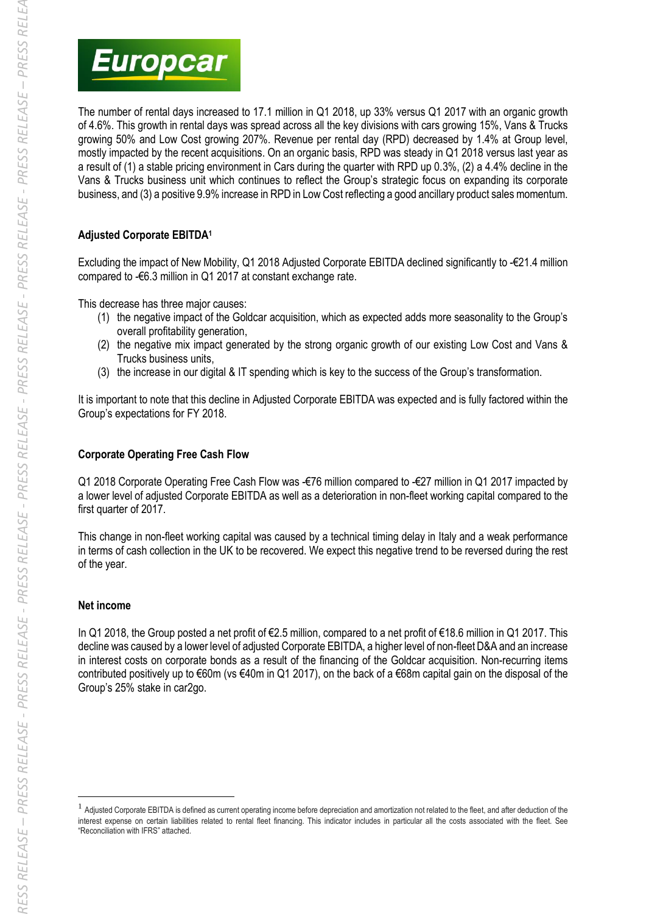

The number of rental days increased to 17.1 million in Q1 2018, up 33% versus Q1 2017 with an organic growth of 4.6%. This growth in rental days was spread across all the key divisions with cars growing 15%, Vans & Trucks growing 50% and Low Cost growing 207%. Revenue per rental day (RPD) decreased by 1.4% at Group level, mostly impacted by the recent acquisitions. On an organic basis, RPD was steady in Q1 2018 versus last year as a result of (1) a stable pricing environment in Cars during the quarter with RPD up 0.3%, (2) a 4.4% decline in the Vans & Trucks business unit which continues to reflect the Group's strategic focus on expanding its corporate business, and (3) a positive 9.9% increase in RPD in Low Cost reflecting a good ancillary product sales momentum.

# **Adjusted Corporate EBITDA<sup>1</sup>**

Excluding the impact of New Mobility, Q1 2018 Adjusted Corporate EBITDA declined significantly to -€21.4 million compared to -€6.3 million in Q1 2017 at constant exchange rate.

This decrease has three major causes:

- (1) the negative impact of the Goldcar acquisition, which as expected adds more seasonality to the Group's overall profitability generation,
- (2) the negative mix impact generated by the strong organic growth of our existing Low Cost and Vans & Trucks business units,
- (3) the increase in our digital & IT spending which is key to the success of the Group's transformation.

It is important to note that this decline in Adjusted Corporate EBITDA was expected and is fully factored within the Group's expectations for FY 2018.

# **Corporate Operating Free Cash Flow**

Q1 2018 Corporate Operating Free Cash Flow was -€76 million compared to -€27 million in Q1 2017 impacted by a lower level of adjusted Corporate EBITDA as well as a deterioration in non-fleet working capital compared to the first quarter of 2017.

This change in non-fleet working capital was caused by a technical timing delay in Italy and a weak performance in terms of cash collection in the UK to be recovered. We expect this negative trend to be reversed during the rest of the year.

## **Net income**

-

In Q1 2018, the Group posted a net profit of €2.5 million, compared to a net profit of €18.6 million in Q1 2017. This decline was caused by a lower level of adjusted Corporate EBITDA, a higher level of non-fleet D&A and an increase in interest costs on corporate bonds as a result of the financing of the Goldcar acquisition. Non-recurring items contributed positively up to €60m (vs €40m in Q1 2017), on the back of a €68m capital gain on the disposal of the Group's 25% stake in car2go.

<sup>&</sup>lt;sup>1</sup> Adjusted Corporate EBITDA is defined as current operating income before depreciation and amortization not related to the fleet, and after deduction of the interest expense on certain liabilities related to rental fleet financing. This indicator includes in particular all the costs associated with the fleet. See "Reconciliation with IFRS" attached.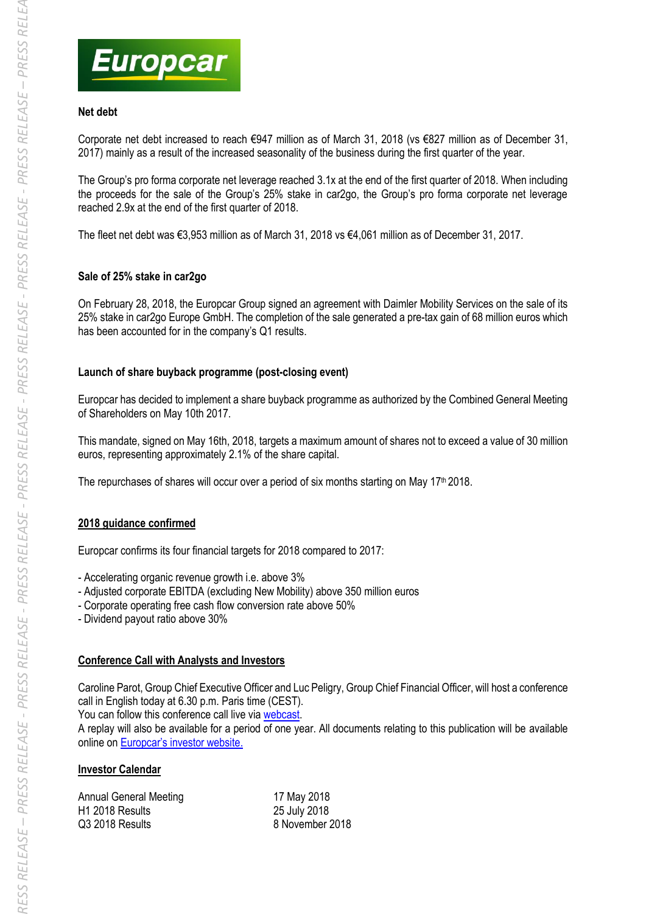

# **Net debt**

Corporate net debt increased to reach €947 million as of March 31, 2018 (vs €827 million as of December 31, 2017) mainly as a result of the increased seasonality of the business during the first quarter of the year.

The Group's pro forma corporate net leverage reached 3.1x at the end of the first quarter of 2018. When including the proceeds for the sale of the Group's 25% stake in car2go, the Group's pro forma corporate net leverage reached 2.9x at the end of the first quarter of 2018.

The fleet net debt was €3,953 million as of March 31, 2018 vs €4,061 million as of December 31, 2017.

# **Sale of 25% stake in car2go**

On February 28, 2018, the Europcar Group signed an agreement with Daimler Mobility Services on the sale of its 25% stake in car2go Europe GmbH. The completion of the sale generated a pre-tax gain of 68 million euros which has been accounted for in the company's Q1 results.

# **Launch of share buyback programme (post-closing event)**

Europcar has decided to implement a share buyback programme as authorized by the Combined General Meeting of Shareholders on May 10th 2017.

This mandate, signed on May 16th, 2018, targets a maximum amount of shares not to exceed a value of 30 million euros, representing approximately 2.1% of the share capital.

The repurchases of shares will occur over a period of six months starting on May 17<sup>th</sup> 2018.

## **2018 guidance confirmed**

Europcar confirms its four financial targets for 2018 compared to 2017:

- Accelerating organic revenue growth i.e. above 3%

- Adjusted corporate EBITDA (excluding New Mobility) above 350 million euros
- Corporate operating free cash flow conversion rate above 50%
- Dividend payout ratio above 30%

## **Conference Call with Analysts and Investors**

Caroline Parot, Group Chief Executive Officer and Luc Peligry, Group Chief Financial Officer, will host a conference call in English today at 6.30 p.m. Paris time (CEST).

You can follow this conference call live via [webcast.](https://pgi.webcasts.com/starthere.jsp?ei=1181073&tp_key=b1aa2c54db)

A replay will also be available for a period of one year. All documents relating to this publication will be available online on [Europcar's investor website](https://investors.europcar-group.com/).

## **Investor Calendar**

| Annual General Meeting | 17 May 2018     |
|------------------------|-----------------|
| H1 2018 Results        | 25 July 2018    |
| Q3 2018 Results        | 8 November 2018 |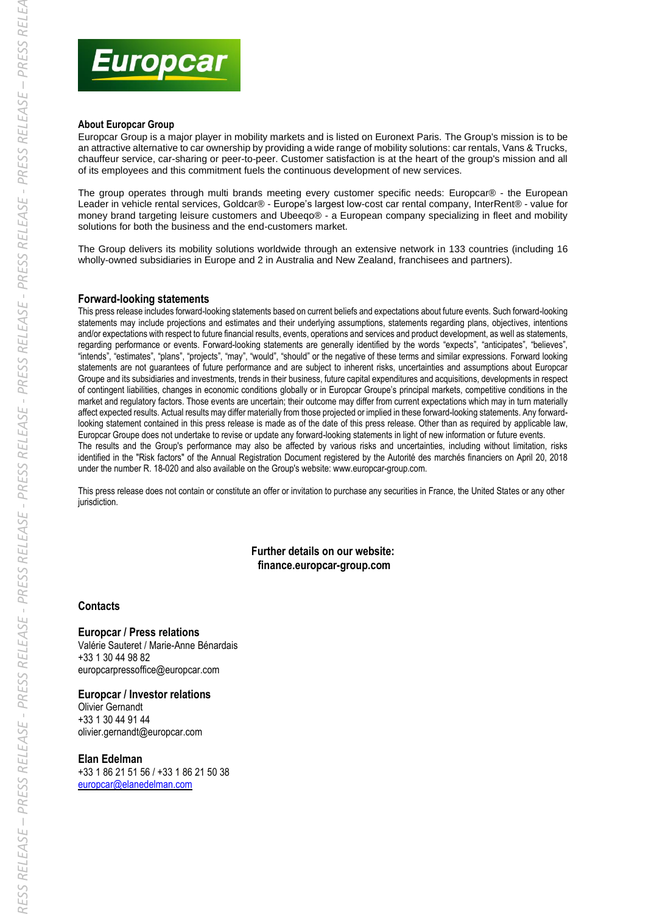

#### **About Europcar Group**

Europcar Group is a major player in mobility markets and is listed on Euronext Paris. The Group's mission is to be an attractive alternative to car ownership by providing a wide range of mobility solutions: car rentals, Vans & Trucks, chauffeur service, car-sharing or peer-to-peer. Customer satisfaction is at the heart of the group's mission and all of its employees and this commitment fuels the continuous development of new services.

The group operates through multi brands meeting every customer specific needs: Europcar® - the European Leader in vehicle rental services, Goldcar® - Europe's largest low-cost car rental company, InterRent® - value for money brand targeting leisure customers and Ubeeqo® - a European company specializing in fleet and mobility solutions for both the business and the end-customers market.

The Group delivers its mobility solutions worldwide through an extensive network in 133 countries (including 16 wholly-owned subsidiaries in Europe and 2 in Australia and New Zealand, franchisees and partners).

#### **Forward-looking statements**

This press release includes forward-looking statements based on current beliefs and expectations about future events. Such forward-looking statements may include projections and estimates and their underlying assumptions, statements regarding plans, objectives, intentions and/or expectations with respect to future financial results, events, operations and services and product development, as well as statements, regarding performance or events. Forward-looking statements are generally identified by the words "expects", "anticipates", "believes", "intends", "estimates", "plans", "projects", "may", "would", "should" or the negative of these terms and similar expressions. Forward looking statements are not guarantees of future performance and are subject to inherent risks, uncertainties and assumptions about Europcar Groupe and its subsidiaries and investments, trends in their business, future capital expenditures and acquisitions, developments in respect of contingent liabilities, changes in economic conditions globally or in Europcar Groupe's principal markets, competitive conditions in the market and regulatory factors. Those events are uncertain; their outcome may differ from current expectations which may in turn materially affect expected results. Actual results may differ materially from those projected or implied in these forward-looking statements. Any forwardlooking statement contained in this press release is made as of the date of this press release. Other than as required by applicable law, Europcar Groupe does not undertake to revise or update any forward-looking statements in light of new information or future events. The results and the Group's performance may also be affected by various risks and uncertainties, including without limitation, risks identified in the "Risk factors" of the Annual Registration Document registered by the Autorité des marchés financiers on April 20, 2018 under the number R. 18-020 and also available on the Group's website: [www.europcar-group.com.](http://www.europcar-group.com/) 

This press release does not contain or constitute an offer or invitation to purchase any securities in France, the United States or any other jurisdiction.

#### **Further details on our website: finance.europcar-group.com**

#### **Contacts**

#### **Europcar / Press relations**

Valérie Sauteret / Marie-Anne Bénardais +33 1 30 44 98 82 europcarpressoffice@europcar.com

#### **Europcar / Investor relations**

Olivier Gernandt +33 1 30 44 91 44 olivier.gernandt@europcar.com

#### **Elan Edelman**

+33 1 86 21 51 56 / +33 1 86 21 50 38 [europcar@elanedelman.com](mailto:europcar@elanedelman.com)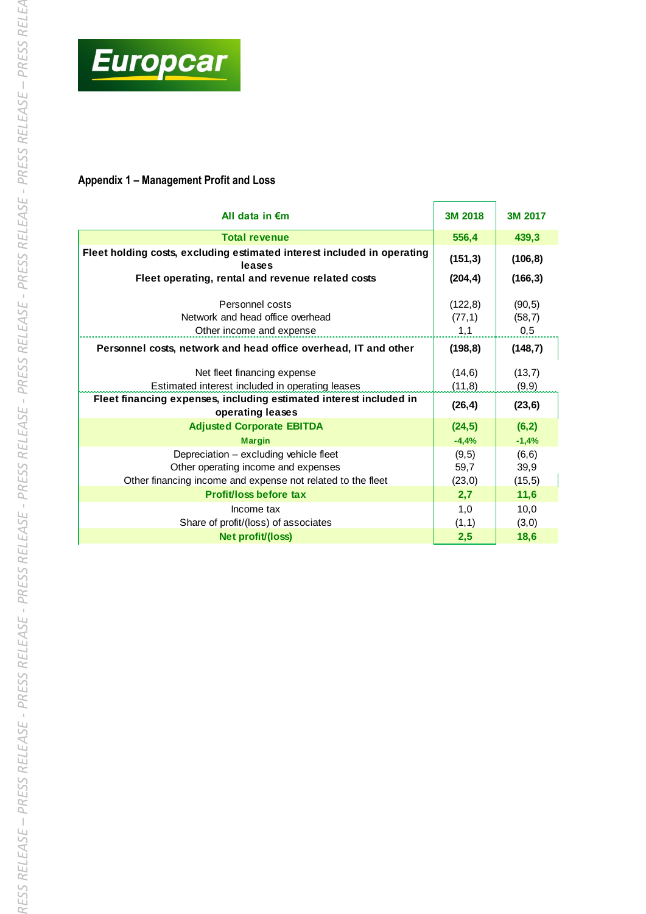

# **Appendix 1 – Management Profit and Loss**

| All data in $\epsilon$ m                                                                                                                     | 3M 2018                    | 3M 2017                  |
|----------------------------------------------------------------------------------------------------------------------------------------------|----------------------------|--------------------------|
| <b>Total revenue</b>                                                                                                                         | 556,4                      | 439,3                    |
| Fleet holding costs, excluding estimated interest included in operating<br>leases                                                            | (151, 3)                   | (106, 8)                 |
| Fleet operating, rental and revenue related costs                                                                                            | (204, 4)                   | (166, 3)                 |
| Personnel costs<br>Network and head office overhead<br>Other income and expense                                                              | (122, 8)<br>(77, 1)<br>1,1 | (90, 5)<br>(58,7)<br>0,5 |
| Personnel costs, network and head office overhead, IT and other                                                                              | (198, 8)                   | (148,7)                  |
| Net fleet financing expense<br>Estimated interest included in operating leases                                                               | (14, 6)<br>(11,8)          | (13,7)<br>(9, 9)         |
| Fleet financing expenses, including estimated interest included in<br>operating leases                                                       | (26, 4)                    | (23, 6)                  |
| <b>Adjusted Corporate EBITDA</b>                                                                                                             | (24, 5)                    | (6,2)                    |
| <b>Margin</b>                                                                                                                                | $-4,4%$                    | $-1,4%$                  |
| Depreciation - excluding vehicle fleet<br>Other operating income and expenses<br>Other financing income and expense not related to the fleet | (9,5)<br>59,7<br>(23,0)    | (6, 6)<br>39,9<br>(15,5) |
| Profit/loss before tax                                                                                                                       | 2,7                        | 11,6                     |
| Income tax<br>Share of profit/(loss) of associates                                                                                           | 1,0<br>(1,1)               | 10,0<br>(3,0)            |
| Net profit/(loss)                                                                                                                            | 2,5                        | 18,6                     |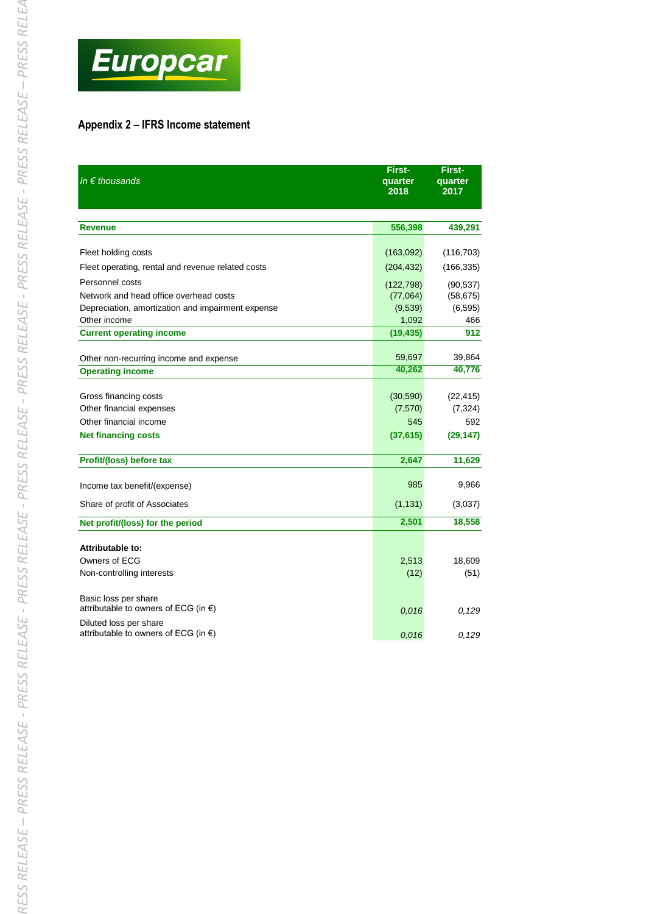

# **Appendix 2 – IFRS Income statement**

| In $\epsilon$ thousands                                                  | First-<br>quarter<br>2018 | First-<br>quarter<br>2017 |
|--------------------------------------------------------------------------|---------------------------|---------------------------|
| <b>Revenue</b>                                                           | 556,398                   | 439,291                   |
| Fleet holding costs                                                      | (163,092)                 | (116, 703)                |
| Fleet operating, rental and revenue related costs                        | (204, 432)                | (166, 335)                |
| Personnel costs                                                          | (122, 798)                | (90, 537)                 |
| Network and head office overhead costs                                   | (77,064)                  | (58, 675)                 |
| Depreciation, amortization and impairment expense                        | (9,539)                   | (6, 595)                  |
| Other income                                                             | 1,092                     | 466                       |
| <b>Current operating income</b>                                          | (19, 435)                 | 912                       |
|                                                                          | 59,697                    | 39,864                    |
| Other non-recurring income and expense<br><b>Operating income</b>        | 40,262                    | 40,776                    |
|                                                                          |                           |                           |
| Gross financing costs                                                    | (30, 590)                 | (22, 415)                 |
| Other financial expenses                                                 | (7,570)                   | (7, 324)                  |
| Other financial income                                                   | 545                       | 592                       |
| <b>Net financing costs</b>                                               | (37, 615)                 | (29, 147)                 |
| Profit/(loss) before tax                                                 | 2,647                     | 11,629                    |
| Income tax benefit/(expense)                                             | 985                       | 9,966                     |
| Share of profit of Associates                                            | (1, 131)                  | (3,037)                   |
| Net profit/(loss) for the period                                         | 2,501                     | 18,558                    |
| Attributable to:                                                         |                           |                           |
| Owners of ECG                                                            | 2,513                     | 18,609                    |
| Non-controlling interests                                                | (12)                      | (51)                      |
| Basic loss per share<br>attributable to owners of ECG (in $\epsilon$ )   | 0,016                     | 0,129                     |
| Diluted loss per share<br>attributable to owners of ECG (in $\epsilon$ ) | 0,016                     | 0,129                     |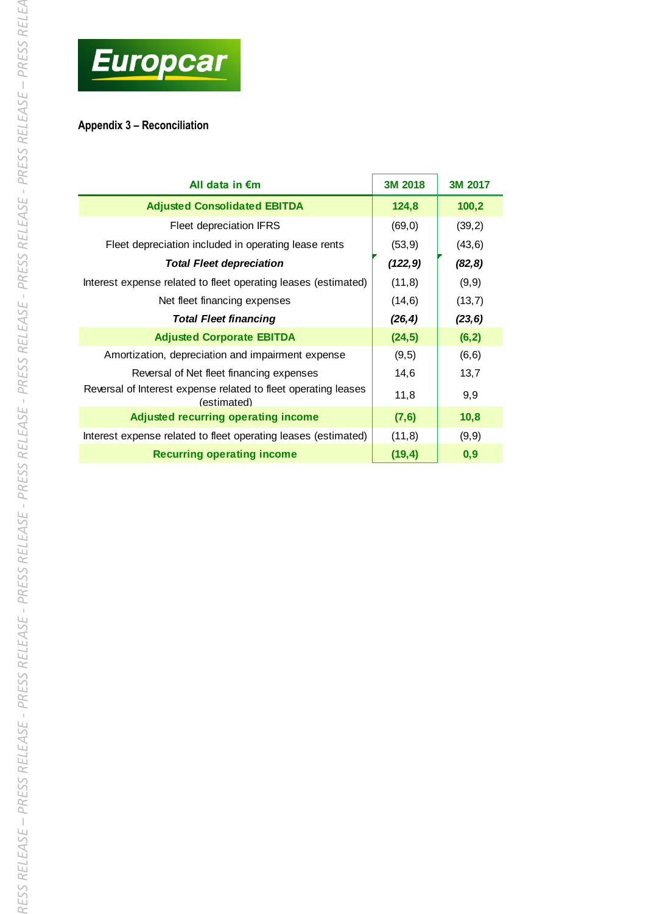

# **Appendix 3 – Reconciliation**

| All data in $\epsilon$ m                                                      | 3M 2018  | 3M 2017 |
|-------------------------------------------------------------------------------|----------|---------|
| <b>Adjusted Consolidated EBITDA</b>                                           | 124,8    | 100,2   |
| <b>Fleet depreciation IFRS</b>                                                | (69, 0)  | (39,2)  |
| Fleet depreciation included in operating lease rents                          | (53, 9)  | (43, 6) |
| <b>Total Fleet depreciation</b>                                               | (122, 9) | (82, 8) |
| Interest expense related to fleet operating leases (estimated)                | (11,8)   | (9, 9)  |
| Net fleet financing expenses                                                  | (14, 6)  | (13,7)  |
| <b>Total Fleet financing</b>                                                  | (26, 4)  | (23, 6) |
| <b>Adjusted Corporate EBITDA</b>                                              | (24, 5)  | (6, 2)  |
| Amortization, depreciation and impairment expense                             | (9,5)    | (6, 6)  |
| Reversal of Net fleet financing expenses                                      | 14,6     | 13,7    |
| Reversal of Interest expense related to fleet operating leases<br>(estimated) | 11,8     | 9,9     |
| <b>Adjusted recurring operating income</b>                                    | (7, 6)   | 10,8    |
| Interest expense related to fleet operating leases (estimated)                | (11,8)   | (9, 9)  |
| <b>Recurring operating income</b>                                             | (19, 4)  | 0,9     |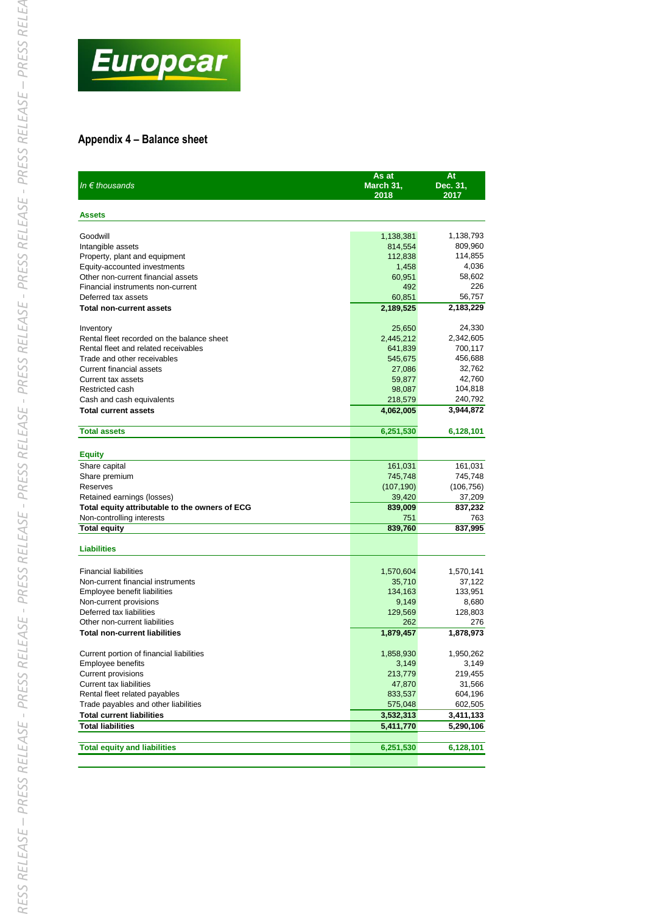

### **Appendix 4 – Balance sheet**

| In $\epsilon$ thousands                        | As at<br>March 31,<br>2018 | At<br>Dec. 31,<br>2017 |
|------------------------------------------------|----------------------------|------------------------|
| <b>Assets</b>                                  |                            |                        |
| Goodwill                                       | 1,138,381                  | 1,138,793              |
| Intangible assets                              | 814,554                    | 809,960                |
| Property, plant and equipment                  | 112,838                    | 114,855                |
| Equity-accounted investments                   | 1,458                      | 4,036                  |
| Other non-current financial assets             | 60,951                     | 58,602                 |
| Financial instruments non-current              | 492                        | 226                    |
| Deferred tax assets                            | 60,851                     | 56,757                 |
| <b>Total non-current assets</b>                | 2,189,525                  | 2,183,229              |
| Inventory                                      | 25,650                     | 24,330                 |
| Rental fleet recorded on the balance sheet     | 2,445,212                  | 2,342,605              |
| Rental fleet and related receivables           | 641,839                    | 700,117                |
| Trade and other receivables                    | 545,675                    | 456,688                |
| Current financial assets                       | 27,086                     | 32,762                 |
| Current tax assets                             | 59,877                     | 42,760                 |
| Restricted cash                                | 98,087                     | 104,818                |
| Cash and cash equivalents                      | 218,579                    | 240,792                |
| <b>Total current assets</b>                    | 4,062,005                  | 3,944,872              |
| <b>Total assets</b>                            | 6,251,530                  | 6,128,101              |
| <b>Equity</b>                                  |                            |                        |
| Share capital                                  | 161,031                    | 161,031                |
| Share premium                                  | 745,748                    | 745,748                |
| Reserves                                       | (107, 190)                 | (106, 756)             |
| Retained earnings (losses)                     | 39,420                     | 37,209                 |
| Total equity attributable to the owners of ECG | 839,009                    | 837,232                |
| Non-controlling interests                      | 751                        | 763                    |
| <b>Total equity</b>                            | 839,760                    | 837,995                |
| <b>Liabilities</b>                             |                            |                        |
|                                                |                            |                        |
| <b>Financial liabilities</b>                   | 1,570,604                  | 1,570,141              |
| Non-current financial instruments              | 35,710                     | 37,122                 |
| Employee benefit liabilities                   | 134,163                    | 133,951                |
| Non-current provisions                         | 9,149                      | 8,680                  |
| Deferred tax liabilities                       | 129,569                    | 128,803                |
| Other non-current liabilities                  | 262                        | 276                    |
| <b>Total non-current liabilities</b>           | 1,879,457                  | 1,878,973              |
| Current portion of financial liabilities       | 1,858,930                  | 1,950,262              |
| Employee benefits                              | 3,149                      | 3,149                  |
| <b>Current provisions</b>                      | 213,779                    | 219,455                |
| <b>Current tax liabilities</b>                 | 47,870                     | 31,566                 |
| Rental fleet related payables                  | 833,537                    | 604,196                |
| Trade payables and other liabilities           | 575,048                    | 602,505                |
| <b>Total current liabilities</b>               | 3,532,313                  | 3,411,133              |
| <b>Total liabilities</b>                       | 5,411,770                  | 5,290,106              |
| <b>Total equity and liabilities</b>            | 6,251,530                  | 6,128,101              |
|                                                |                            |                        |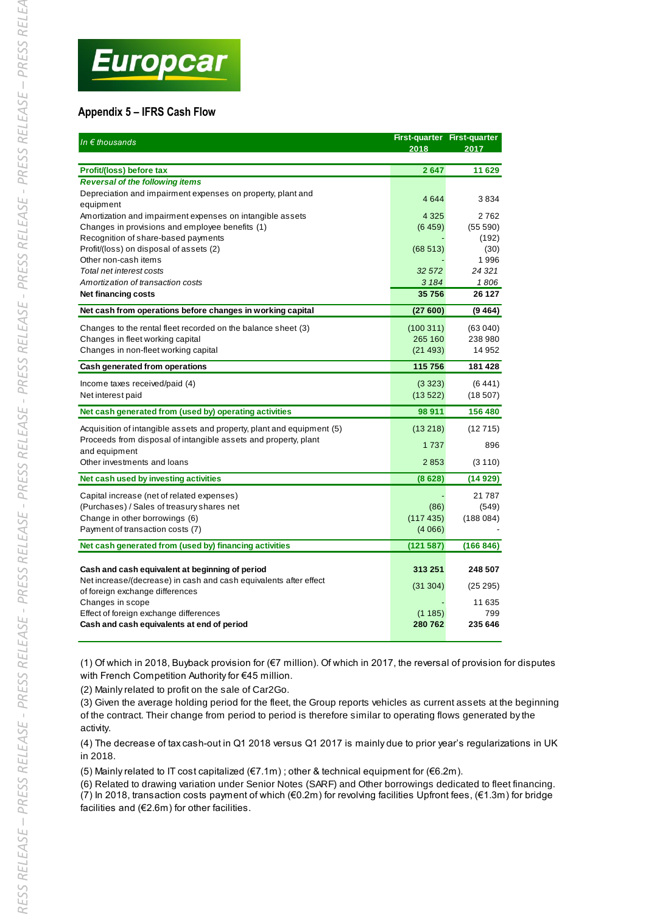# **Appendix 5 – IFRS Cash Flow**

| In $\epsilon$ thousands                                                                                              | 2018     | <b>First-quarter First-quarter</b><br>2017 |
|----------------------------------------------------------------------------------------------------------------------|----------|--------------------------------------------|
| Profit/(loss) before tax                                                                                             | 2647     | 11 629                                     |
| <b>Reversal of the following items</b>                                                                               |          |                                            |
| Depreciation and impairment expenses on property, plant and<br>equipment                                             | 4644     | 3834                                       |
| Amortization and impairment expenses on intangible assets                                                            | 4 3 2 5  | 2762                                       |
| Changes in provisions and employee benefits (1)                                                                      | (6459)   | (55590)                                    |
| Recognition of share-based payments                                                                                  |          | (192)                                      |
| Profit/(loss) on disposal of assets (2)                                                                              | (68513)  | (30)                                       |
| Other non-cash items                                                                                                 |          | 1996                                       |
| Total net interest costs                                                                                             | 32 572   | 24 32 1                                    |
| Amortization of transaction costs                                                                                    | 3 1 8 4  | 1806                                       |
| Net financing costs                                                                                                  | 35756    | 26 127                                     |
| Net cash from operations before changes in working capital                                                           | (27600)  | (9464)                                     |
| Changes to the rental fleet recorded on the balance sheet (3)                                                        | (100311) | (63040)                                    |
| Changes in fleet working capital                                                                                     | 265 160  | 238 980                                    |
| Changes in non-fleet working capital                                                                                 | (21493)  | 14 952                                     |
| Cash generated from operations                                                                                       | 115 756  | 181 428                                    |
| Income taxes received/paid (4)                                                                                       | (3323)   | (6441)                                     |
| Net interest paid                                                                                                    | (13522)  | (18507)                                    |
| Net cash generated from (used by) operating activities                                                               | 98 911   | 156 480                                    |
| Acquisition of intangible assets and property, plant and equipment (5)                                               | (13218)  | (12715)                                    |
| Proceeds from disposal of intangible assets and property, plant                                                      | 1737     | 896                                        |
| and equipment                                                                                                        |          |                                            |
| Other investments and loans                                                                                          | 2853     | (3110)                                     |
| Net cash used by investing activities                                                                                | (8628)   | (14929)                                    |
| Capital increase (net of related expenses)                                                                           |          | 21787                                      |
| (Purchases) / Sales of treasury shares net                                                                           | (86)     | (549)                                      |
| Change in other borrowings (6)                                                                                       | (117435) | (188084)                                   |
| Payment of transaction costs (7)                                                                                     | (4066)   |                                            |
| Net cash generated from (used by) financing activities                                                               | (121587) | (166 846)                                  |
|                                                                                                                      | 313 251  | 248 507                                    |
| Cash and cash equivalent at beginning of period<br>Net increase/(decrease) in cash and cash equivalents after effect |          |                                            |
| of foreign exchange differences                                                                                      | (31304)  | (25 295)                                   |
| Changes in scope                                                                                                     |          | 11 635                                     |
| Effect of foreign exchange differences                                                                               | (1185)   | 799                                        |
| Cash and cash equivalents at end of period                                                                           | 280762   | 235 646                                    |

(1) Of which in 2018, Buyback provision for (€7 million). Of which in 2017, the reversal of provision for disputes with French Competition Authority for €45 million.

(2) Mainly related to profit on the sale of Car2Go.

(3) Given the average holding period for the fleet, the Group reports vehicles as current assets at the beginning of the contract. Their change from period to period is therefore similar to operating flows generated by the activity.

(4) The decrease of tax cash-out in Q1 2018 versus Q1 2017 is mainly due to prior year's regularizations in UK in 2018.

(5) Mainly related to IT cost capitalized (€7.1m) ; other & technical equipment for (€6.2m).

(6) Related to drawing variation under Senior Notes (SARF) and Other borrowings dedicated to fleet financing. (7) In 2018, transaction costs payment of which (€0.2m) for revolving facilities Upfront fees, (€1.3m) for bridge facilities and (€2.6m) for other facilities.